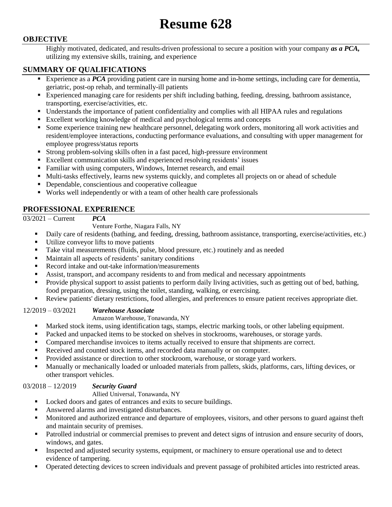# **Resume 628**

# **OBJECTIVE**

Highly motivated, dedicated, and results-driven professional to secure a position with your company *as a PCA,* utilizing my extensive skills, training, and experience

# **SUMMARY OF QUALIFICATIONS**

- Experience as a *PCA* providing patient care in nursing home and in-home settings, including care for dementia, geriatric, post-op rehab, and terminally-ill patients
- Experienced managing care for residents per shift including bathing, feeding, dressing, bathroom assistance, transporting, exercise/activities, etc.
- Understands the importance of patient confidentiality and complies with all HIPAA rules and regulations
- Excellent working knowledge of medical and psychological terms and concepts
- Some experience training new healthcare personnel, delegating work orders, monitoring all work activities and resident/employee interactions, conducting performance evaluations, and consulting with upper management for employee progress/status reports
- Strong problem-solving skills often in a fast paced, high-pressure environment
- Excellent communication skills and experienced resolving residents' issues
- Familiar with using computers, Windows, Internet research, and email
- Multi-tasks effectively, learns new systems quickly, and completes all projects on or ahead of schedule
- Dependable, conscientious and cooperative colleague
- Works well independently or with a team of other health care professionals

## **PROFESSIONAL EXPERIENCE**

## 03/2021 – Current *PCA*

Venture Forthe, Niagara Falls, NY

- Daily care of residents (bathing, and feeding, dressing, bathroom assistance, transporting, exercise/activities, etc.)
- Utilize conveyor lifts to move patients
- Take vital measurements (fluids, pulse, blood pressure, etc.) routinely and as needed
- Maintain all aspects of residents' sanitary conditions
- Record intake and out-take information/measurements
- Assist, transport, and accompany residents to and from medical and necessary appointments
- Provide physical support to assist patients to perform daily living activities, such as getting out of bed, bathing, food preparation, dressing, using the toilet, standing, walking, or exercising.
- Review patients' dietary restrictions, food allergies, and preferences to ensure patient receives appropriate diet.

#### 12/2019 – 03/2021 *Warehouse Associate*

#### Amazon Warehouse, Tonawanda, NY

- Marked stock items, using identification tags, stamps, electric marking tools, or other labeling equipment.
- **Packed and unpacked items to be stocked on shelves in stockrooms, warehouses, or storage yards.**
- Compared merchandise invoices to items actually received to ensure that shipments are correct.
- Received and counted stock items, and recorded data manually or on computer.
- **Provided assistance or direction to other stockroom, warehouse, or storage yard workers.**
- Manually or mechanically loaded or unloaded materials from pallets, skids, platforms, cars, lifting devices, or other transport vehicles.

## 03/2018 – 12/2019 *Security Guard*

#### Allied Universal, Tonawanda, NY

- Locked doors and gates of entrances and exits to secure buildings.
- Answered alarms and investigated disturbances.
- Monitored and authorized entrance and departure of employees, visitors, and other persons to guard against theft and maintain security of premises.
- Patrolled industrial or commercial premises to prevent and detect signs of intrusion and ensure security of doors, windows, and gates.
- **Inspected and adjusted security systems, equipment, or machinery to ensure operational use and to detect** evidence of tampering.
- Operated detecting devices to screen individuals and prevent passage of prohibited articles into restricted areas.